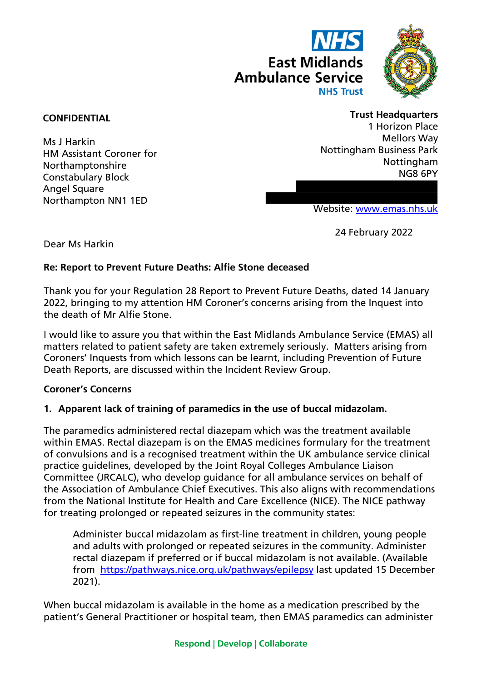



# **CONFIDENTIAL**

Ms J Harkin HM Assistant Coroner for Northamptonshire Constabulary Block Angel Square Northampton NN1 1ED

#### **Trust Headquarters**

1 Horizon Place Mellors Way Nottingham Business Park Nottingham NG8 6PY

Website: [www.emas.nhs.uk](http://www.emas.nhs.uk/)

24 February 2022

Dear Ms Harkin

# **Re: Report to Prevent Future Deaths: Alfie Stone deceased**

Thank you for your Regulation 28 Report to Prevent Future Deaths, dated 14 January 2022, bringing to my attention HM Coroner's concerns arising from the Inquest into the death of Mr Alfie Stone.

I would like to assure you that within the East Midlands Ambulance Service (EMAS) all matters related to patient safety are taken extremely seriously. Matters arising from Coroners' Inquests from which lessons can be learnt, including Prevention of Future Death Reports, are discussed within the Incident Review Group.

#### **Coroner's Concerns**

# **1. Apparent lack of training of paramedics in the use of buccal midazolam.**

The paramedics administered rectal diazepam which was the treatment available within EMAS. Rectal diazepam is on the EMAS medicines formulary for the treatment of convulsions and is a recognised treatment within the UK ambulance service clinical practice guidelines, developed by the Joint Royal Colleges Ambulance Liaison Committee (JRCALC), who develop guidance for all ambulance services on behalf of the Association of Ambulance Chief Executives. This also aligns with recommendations from the National Institute for Health and Care Excellence (NICE). The NICE pathway for treating prolonged or repeated seizures in the community states:

Administer buccal midazolam as first-line treatment in children, young people and adults with prolonged or repeated seizures in the community. Administer rectal diazepam if preferred or if buccal midazolam is not available. (Available from <https://pathways.nice.org.uk/pathways/epilepsy> last updated 15 December 2021).

When buccal midazolam is available in the home as a medication prescribed by the patient's General Practitioner or hospital team, then EMAS paramedics can administer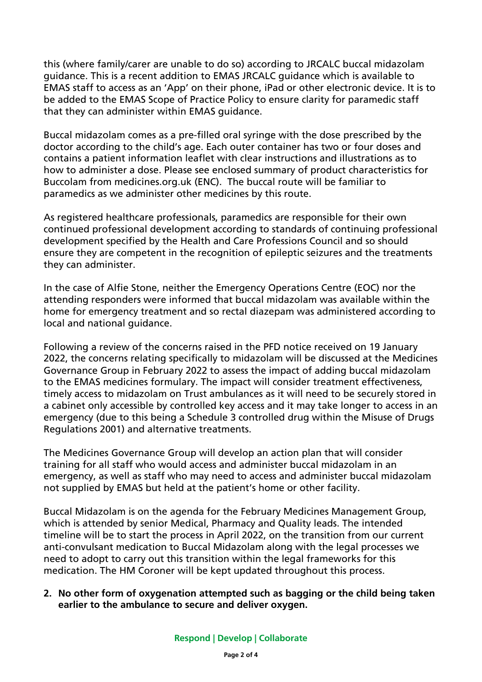this (where family/carer are unable to do so) according to JRCALC buccal midazolam guidance. This is a recent addition to EMAS JRCALC guidance which is available to EMAS staff to access as an 'App' on their phone, iPad or other electronic device. It is to be added to the EMAS Scope of Practice Policy to ensure clarity for paramedic staff that they can administer within EMAS guidance.

Buccal midazolam comes as a pre-filled oral syringe with the dose prescribed by the doctor according to the child's age. Each outer container has two or four doses and contains a patient information leaflet with clear instructions and illustrations as to how to administer a dose. Please see enclosed summary of product characteristics for Buccolam from medicines.org.uk (ENC). The buccal route will be familiar to paramedics as we administer other medicines by this route.

As registered healthcare professionals, paramedics are responsible for their own continued professional development according to standards of continuing professional development specified by the Health and Care Professions Council and so should ensure they are competent in the recognition of epileptic seizures and the treatments they can administer.

In the case of Alfie Stone, neither the Emergency Operations Centre (EOC) nor the attending responders were informed that buccal midazolam was available within the home for emergency treatment and so rectal diazepam was administered according to local and national guidance.

Following a review of the concerns raised in the PFD notice received on 19 January 2022, the concerns relating specifically to midazolam will be discussed at the Medicines Governance Group in February 2022 to assess the impact of adding buccal midazolam to the EMAS medicines formulary. The impact will consider treatment effectiveness, timely access to midazolam on Trust ambulances as it will need to be securely stored in a cabinet only accessible by controlled key access and it may take longer to access in an emergency (due to this being a Schedule 3 controlled drug within the Misuse of Drugs Regulations 2001) and alternative treatments.

The Medicines Governance Group will develop an action plan that will consider training for all staff who would access and administer buccal midazolam in an emergency, as well as staff who may need to access and administer buccal midazolam not supplied by EMAS but held at the patient's home or other facility.

Buccal Midazolam is on the agenda for the February Medicines Management Group, which is attended by senior Medical, Pharmacy and Quality leads. The intended timeline will be to start the process in April 2022, on the transition from our current anti-convulsant medication to Buccal Midazolam along with the legal processes we need to adopt to carry out this transition within the legal frameworks for this medication. The HM Coroner will be kept updated throughout this process.

### **2. No other form of oxygenation attempted such as bagging or the child being taken earlier to the ambulance to secure and deliver oxygen.**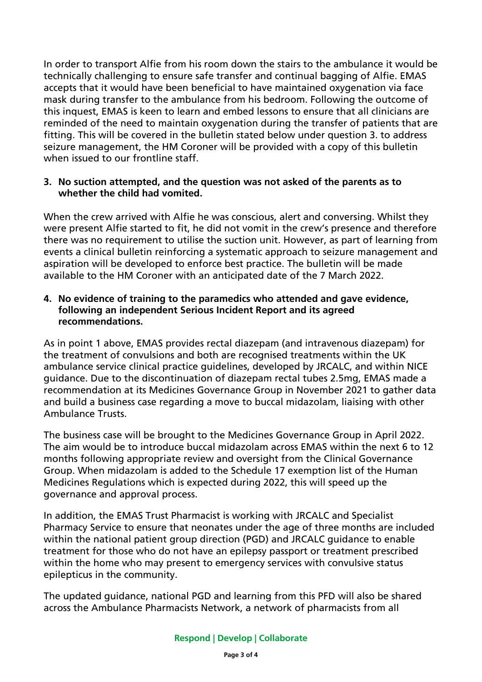In order to transport Alfie from his room down the stairs to the ambulance it would be technically challenging to ensure safe transfer and continual bagging of Alfie. EMAS accepts that it would have been beneficial to have maintained oxygenation via face mask during transfer to the ambulance from his bedroom. Following the outcome of this inquest, EMAS is keen to learn and embed lessons to ensure that all clinicians are reminded of the need to maintain oxygenation during the transfer of patients that are fitting. This will be covered in the bulletin stated below under question 3. to address seizure management, the HM Coroner will be provided with a copy of this bulletin when issued to our frontline staff.

### **3. No suction attempted, and the question was not asked of the parents as to whether the child had vomited.**

When the crew arrived with Alfie he was conscious, alert and conversing. Whilst they were present Alfie started to fit, he did not vomit in the crew's presence and therefore there was no requirement to utilise the suction unit. However, as part of learning from events a clinical bulletin reinforcing a systematic approach to seizure management and aspiration will be developed to enforce best practice. The bulletin will be made available to the HM Coroner with an anticipated date of the 7 March 2022.

#### **4. No evidence of training to the paramedics who attended and gave evidence, following an independent Serious Incident Report and its agreed recommendations.**

As in point 1 above, EMAS provides rectal diazepam (and intravenous diazepam) for the treatment of convulsions and both are recognised treatments within the UK ambulance service clinical practice guidelines, developed by JRCALC, and within NICE guidance. Due to the discontinuation of diazepam rectal tubes 2.5mg, EMAS made a recommendation at its Medicines Governance Group in November 2021 to gather data and build a business case regarding a move to buccal midazolam, liaising with other Ambulance Trusts.

The business case will be brought to the Medicines Governance Group in April 2022. The aim would be to introduce buccal midazolam across EMAS within the next 6 to 12 months following appropriate review and oversight from the Clinical Governance Group. When midazolam is added to the Schedule 17 exemption list of the Human Medicines Regulations which is expected during 2022, this will speed up the governance and approval process.

In addition, the EMAS Trust Pharmacist is working with JRCALC and Specialist Pharmacy Service to ensure that neonates under the age of three months are included within the national patient group direction (PGD) and JRCALC guidance to enable treatment for those who do not have an epilepsy passport or treatment prescribed within the home who may present to emergency services with convulsive status epilepticus in the community.

The updated guidance, national PGD and learning from this PFD will also be shared across the Ambulance Pharmacists Network, a network of pharmacists from all